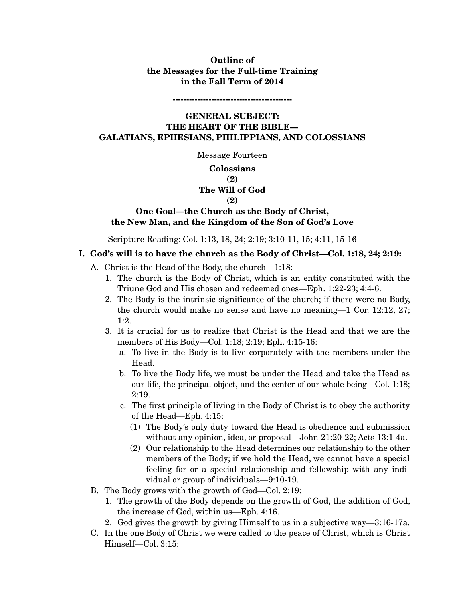# **Outline of the Messages for the Full-time Training in the Fall Term of 2014**

**-------------------------------------------** 

# **GENERAL SUBJECT: THE HEART OF THE BIBLE— GALATIANS, EPHESIANS, PHILIPPIANS, AND COLOSSIANS**

Message Fourteen

### **Colossians**

#### **(2)**

# **The Will of God**

#### **(2)**

### **One Goal—the Church as the Body of Christ, the New Man, and the Kingdom of the Son of God's Love**

Scripture Reading: Col. 1:13, 18, 24; 2:19; 3:10-11, 15; 4:11, 15-16

### **I. God's will is to have the church as the Body of Christ—Col. 1:18, 24; 2:19:**

- A. Christ is the Head of the Body, the church—1:18:
	- 1. The church is the Body of Christ, which is an entity constituted with the Triune God and His chosen and redeemed ones—Eph. 1:22-23; 4:4-6.
	- 2. The Body is the intrinsic significance of the church; if there were no Body, the church would make no sense and have no meaning—1 Cor. 12:12, 27; 1:2.
	- 3. It is crucial for us to realize that Christ is the Head and that we are the members of His Body—Col. 1:18; 2:19; Eph. 4:15-16:
		- a. To live in the Body is to live corporately with the members under the Head.
		- b. To live the Body life, we must be under the Head and take the Head as our life, the principal object, and the center of our whole being—Col. 1:18; 2:19.
		- c. The first principle of living in the Body of Christ is to obey the authority of the Head—Eph. 4:15:
			- (1) The Body's only duty toward the Head is obedience and submission without any opinion, idea, or proposal—John 21:20-22; Acts 13:1-4a.
			- (2) Our relationship to the Head determines our relationship to the other members of the Body; if we hold the Head, we cannot have a special feeling for or a special relationship and fellowship with any individual or group of individuals—9:10-19.
- B. The Body grows with the growth of God—Col. 2:19:
	- 1. The growth of the Body depends on the growth of God, the addition of God, the increase of God, within us—Eph. 4:16.
	- 2. God gives the growth by giving Himself to us in a subjective way—3:16-17a.
- C. In the one Body of Christ we were called to the peace of Christ, which is Christ Himself—Col. 3:15: